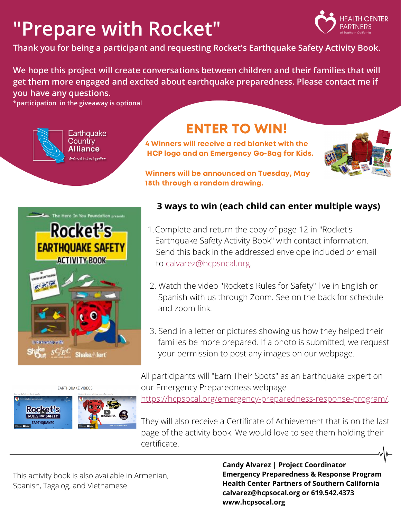# **"Prepare with Rocket"**



**Thank you for being a participant and requesting Rocket's Earthquake Safety Activity Book.**

**We hope this project will create conversations between children and their families that will get them more engaged and excited about earthquake preparedness. Please contact me if you have any questions.**

**\*participation in the giveaway is optional**



### ENTER TO WIN!

4 Winners will receive a red blanket with the HCP logo and an Emergency Go-Bag for Kids.



Winners will be announced on Tuesday, May 18th through a random drawing.

to calvarez@hcpsocal.org.

and zoom link.

Complete and return the copy of page 12 in "Rocket's 1.

Earthquake Safety Activity Book" with contact information.

Send this back in the addressed envelope included or email

2. Watch the video "Rocket's Rules for Safety" live in English or Spanish with us through Zoom. See on the back for schedule

**3 ways to win (each child can enter multiple ways)**



#### EARTHOUAKE VIDEOS



 $\alpha$  access to materials regarding emission  $\Gamma$  , we can define the contribution of the contribution of the contribution of the contribution of the contribution of the contribution of the contribution of the contribution All participants will "Earn Their Spots" as an Earthquake Expert on our Emergency Preparedness webpage

your permission to post any images on our webpage.

3. Send in a letter or pictures showing us how they helped their

families be more prepared. If a photo is submitted, we request

 $\epsilon$ -rasnonse-program/ https://hcpsocal.org/emergency-preparedness-response-program/.

They will also receive a Certificate of Achievement that is on the last page of the activity book. We would love to see them holding their certificate.

This activity book is also available in Armenian, Spanish, Tagalog, and Vietnamese.

**Candy Alvarez | Project Coordinator Emergency Preparedness & Response Program Health Center Partners of Southern California calvarez@hcpsocal.org or 619.542.4373 www.hcpsocal.org**